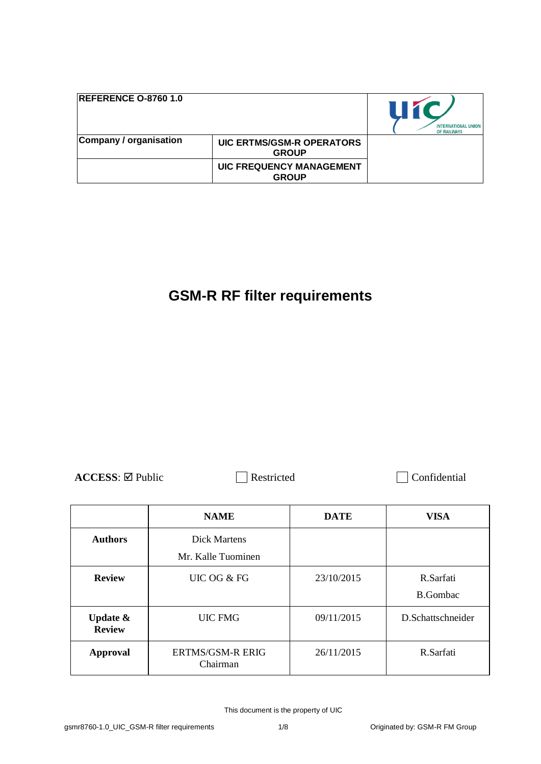| <b>REFERENCE 0-8760 1.0</b> |                                                  | 11 Z<br><b>INTERNATIONAL UNION</b><br>OF RAILWAYS |
|-----------------------------|--------------------------------------------------|---------------------------------------------------|
| Company / organisation      | <b>UIC ERTMS/GSM-R OPERATORS</b><br><b>GROUP</b> |                                                   |
|                             | <b>UIC FREQUENCY MANAGEMENT</b><br><b>GROUP</b>  |                                                   |

# **GSM-R RF filter requirements**

ACCESS: ⊠ Public Restricted Confidential

|                                      | <b>NAME</b>                        | <b>DATE</b> | <b>VISA</b>                  |
|--------------------------------------|------------------------------------|-------------|------------------------------|
| <b>Authors</b>                       | Dick Martens<br>Mr. Kalle Tuominen |             |                              |
| <b>Review</b>                        | UIC OG & FG                        | 23/10/2015  | R.Sarfati<br><b>B.Gombac</b> |
| <b>Update &amp;</b><br><b>Review</b> | <b>UIC FMG</b>                     | 09/11/2015  | D.Schattschneider            |
| <b>Approval</b>                      | ERTMS/GSM-R ERIG<br>Chairman       | 26/11/2015  | R.Sarfati                    |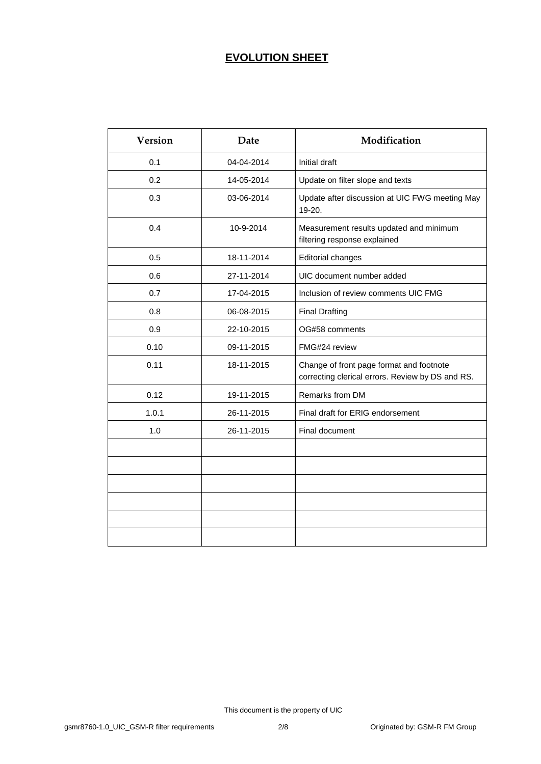# **EVOLUTION SHEET**

| <b>Version</b> | Date       | Modification                                                                                 |
|----------------|------------|----------------------------------------------------------------------------------------------|
| 0.1            | 04-04-2014 | Initial draft                                                                                |
| 0.2            | 14-05-2014 | Update on filter slope and texts                                                             |
| 0.3            | 03-06-2014 | Update after discussion at UIC FWG meeting May<br>19-20.                                     |
| 0.4            | 10-9-2014  | Measurement results updated and minimum<br>filtering response explained                      |
| 0.5            | 18-11-2014 | <b>Editorial changes</b>                                                                     |
| 0.6            | 27-11-2014 | UIC document number added                                                                    |
| 0.7            | 17-04-2015 | Inclusion of review comments UIC FMG                                                         |
| 0.8            | 06-08-2015 | <b>Final Drafting</b>                                                                        |
| 0.9            | 22-10-2015 | OG#58 comments                                                                               |
| 0.10           | 09-11-2015 | FMG#24 review                                                                                |
| 0.11           | 18-11-2015 | Change of front page format and footnote<br>correcting clerical errors. Review by DS and RS. |
| 0.12           | 19-11-2015 | Remarks from DM                                                                              |
| 1.0.1          | 26-11-2015 | Final draft for ERIG endorsement                                                             |
| 1.0            | 26-11-2015 | Final document                                                                               |
|                |            |                                                                                              |
|                |            |                                                                                              |
|                |            |                                                                                              |
|                |            |                                                                                              |
|                |            |                                                                                              |
|                |            |                                                                                              |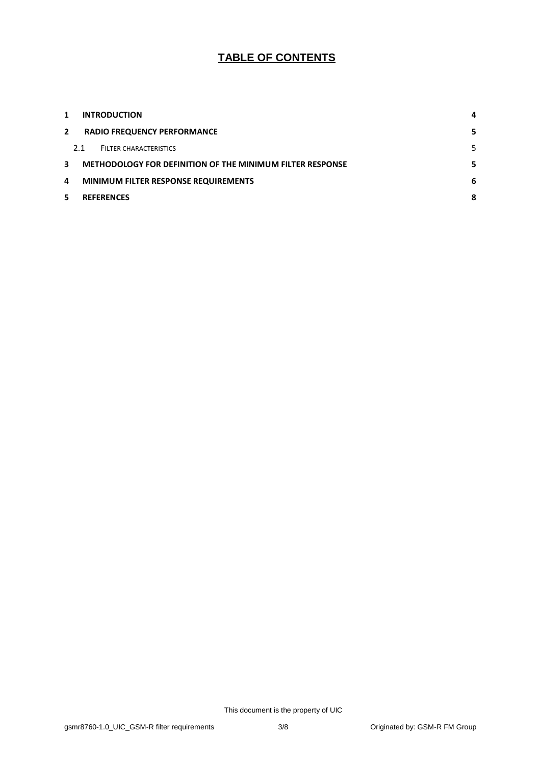# **TABLE OF CONTENTS**

| 1            | <b>INTRODUCTION</b>                                       | 4 |
|--------------|-----------------------------------------------------------|---|
| $\mathbf{2}$ | <b>RADIO FREQUENCY PERFORMANCE</b>                        | 5 |
|              | 2.1<br>FILTER CHARACTERISTICS                             | 5 |
| 3.           | METHODOLOGY FOR DEFINITION OF THE MINIMUM FILTER RESPONSE | 5 |
| 4            | <b>MINIMUM FILTER RESPONSE REQUIREMENTS</b>               | 6 |
|              | <b>REFERENCES</b>                                         | 8 |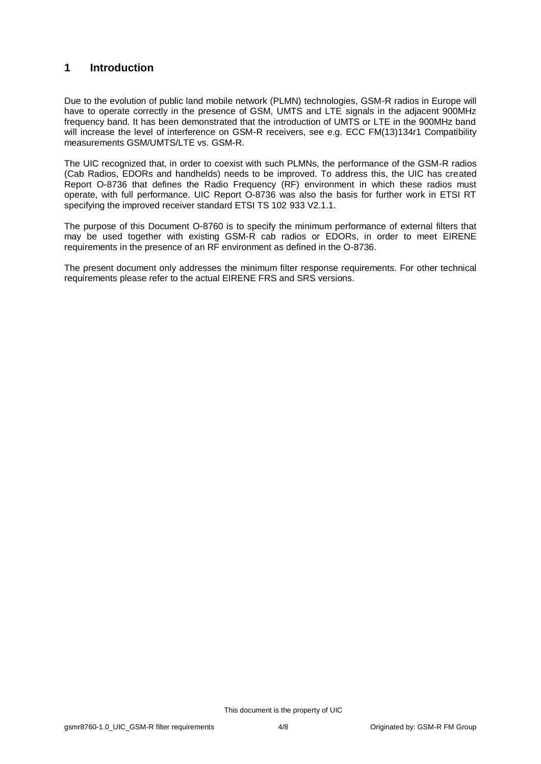### <span id="page-3-0"></span>**1 Introduction**

Due to the evolution of public land mobile network (PLMN) technologies, GSM-R radios in Europe will have to operate correctly in the presence of GSM, UMTS and LTE signals in the adjacent 900MHz frequency band. It has been demonstrated that the introduction of UMTS or LTE in the 900MHz band will increase the level of interference on GSM-R receivers, see e.g. ECC FM(13)134r1 Compatibility measurements GSM/UMTS/LTE vs. GSM-R.

The UIC recognized that, in order to coexist with such PLMNs, the performance of the GSM-R radios (Cab Radios, EDORs and handhelds) needs to be improved. To address this, the UIC has created Report O-8736 that defines the Radio Frequency (RF) environment in which these radios must operate, with full performance. UIC Report O-8736 was also the basis for further work in ETSI RT specifying the improved receiver standard ETSI TS 102 933 V2.1.1.

The purpose of this Document O-8760 is to specify the minimum performance of external filters that may be used together with existing GSM-R cab radios or EDORs, in order to meet EIRENE requirements in the presence of an RF environment as defined in the O-8736.

The present document only addresses the minimum filter response requirements. For other technical requirements please refer to the actual EIRENE FRS and SRS versions.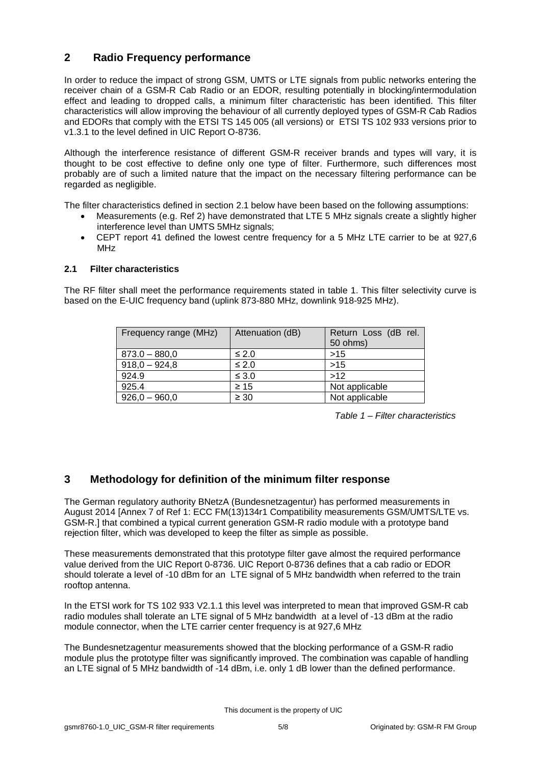## <span id="page-4-0"></span>**2 Radio Frequency performance**

In order to reduce the impact of strong GSM, UMTS or LTE signals from public networks entering the receiver chain of a GSM-R Cab Radio or an EDOR, resulting potentially in blocking/intermodulation effect and leading to dropped calls, a minimum filter characteristic has been identified. This filter characteristics will allow improving the behaviour of all currently deployed types of GSM-R Cab Radios and EDORs that comply with the ETSI TS 145 005 (all versions) or ETSI TS 102 933 versions prior to v1.3.1 to the level defined in UIC Report O-8736.

Although the interference resistance of different GSM-R receiver brands and types will vary, it is thought to be cost effective to define only one type of filter. Furthermore, such differences most probably are of such a limited nature that the impact on the necessary filtering performance can be regarded as negligible.

The filter characteristics defined in section 2.1 below have been based on the following assumptions:

- Measurements (e.g. Ref 2) have demonstrated that LTE 5 MHz signals create a slightly higher interference level than UMTS 5MHz signals;
- CEPT report 41 defined the lowest centre frequency for a 5 MHz LTE carrier to be at 927,6 MHz

#### <span id="page-4-1"></span>**2.1 Filter characteristics**

The RF filter shall meet the performance requirements stated in table 1. This filter selectivity curve is based on the E-UIC frequency band (uplink 873-880 MHz, downlink 918-925 MHz).

| Frequency range (MHz) | Attenuation (dB) | Return Loss (dB rel.<br>50 ohms) |
|-----------------------|------------------|----------------------------------|
| $873.0 - 880,0$       | $\leq 2.0$       | $>15$                            |
| $918,0 - 924,8$       | $\leq 2.0$       | >15                              |
| 924.9                 | $\leq 3.0$       | >12                              |
| 925.4                 | $\geq 15$        | Not applicable                   |
| $926,0 - 960,0$       | $\geq 30$        | Not applicable                   |

*Table 1 – Filter characteristics*

### <span id="page-4-2"></span>**3 Methodology for definition of the minimum filter response**

The German regulatory authority BNetzA (Bundesnetzagentur) has performed measurements in August 2014 [Annex 7 of Ref 1: ECC FM(13)134r1 Compatibility measurements GSM/UMTS/LTE vs. GSM-R.] that combined a typical current generation GSM-R radio module with a prototype band rejection filter, which was developed to keep the filter as simple as possible.

These measurements demonstrated that this prototype filter gave almost the required performance value derived from the UIC Report 0-8736. UIC Report 0-8736 defines that a cab radio or EDOR should tolerate a level of -10 dBm for an LTE signal of 5 MHz bandwidth when referred to the train rooftop antenna.

In the ETSI work for TS 102 933 V2.1.1 this level was interpreted to mean that improved GSM-R cab radio modules shall tolerate an LTE signal of 5 MHz bandwidth at a level of -13 dBm at the radio module connector, when the LTE carrier center frequency is at 927,6 MHz

The Bundesnetzagentur measurements showed that the blocking performance of a GSM-R radio module plus the prototype filter was significantly improved. The combination was capable of handling an LTE signal of 5 MHz bandwidth of -14 dBm, i.e. only 1 dB lower than the defined performance.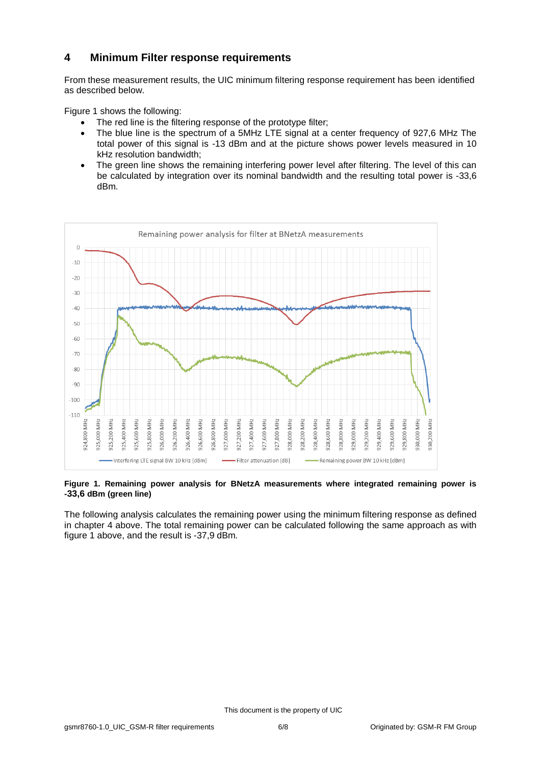## <span id="page-5-0"></span>**4 Minimum Filter response requirements**

From these measurement results, the UIC minimum filtering response requirement has been identified as described below.

Figure 1 shows the following:

- The red line is the filtering response of the prototype filter;
- The blue line is the spectrum of a 5MHz LTE signal at a center frequency of 927,6 MHz The total power of this signal is -13 dBm and at the picture shows power levels measured in 10 kHz resolution bandwidth;
- The green line shows the remaining interfering power level after filtering. The level of this can be calculated by integration over its nominal bandwidth and the resulting total power is -33,6 dBm.



#### **Figure 1. Remaining power analysis for BNetzA measurements where integrated remaining power is -33,6 dBm (green line)**

The following analysis calculates the remaining power using the minimum filtering response as defined in chapter 4 above. The total remaining power can be calculated following the same approach as with figure 1 above, and the result is -37,9 dBm.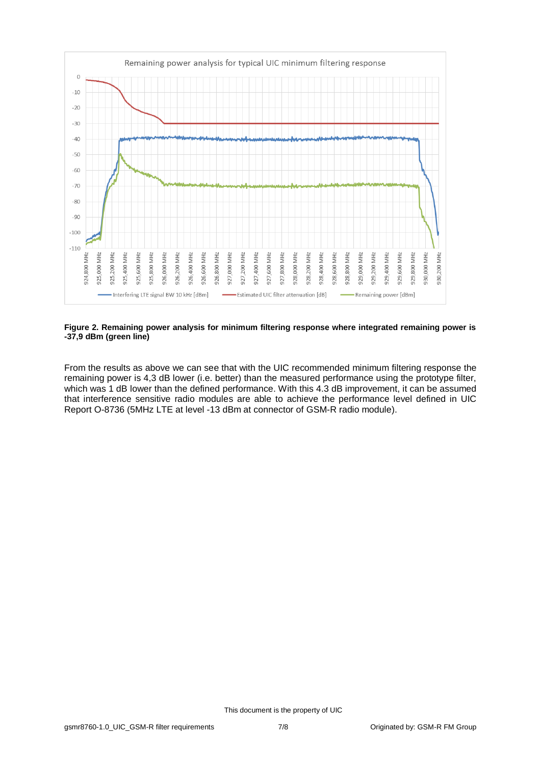

#### **Figure 2. Remaining power analysis for minimum filtering response where integrated remaining power is -37,9 dBm (green line)**

From the results as above we can see that with the UIC recommended minimum filtering response the remaining power is 4,3 dB lower (i.e. better) than the measured performance using the prototype filter, which was 1 dB lower than the defined performance. With this 4.3 dB improvement, it can be assumed that interference sensitive radio modules are able to achieve the performance level defined in UIC Report O-8736 (5MHz LTE at level -13 dBm at connector of GSM-R radio module).